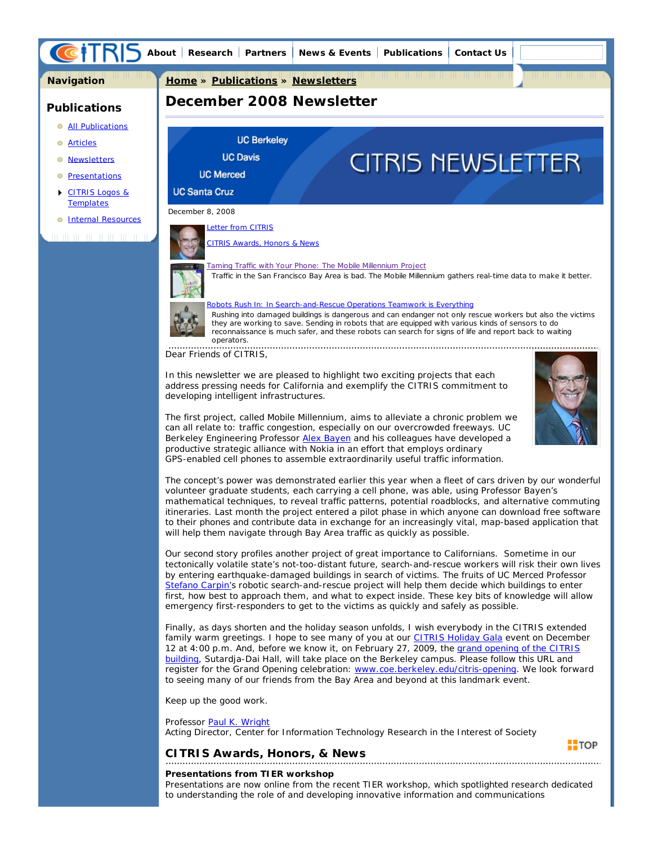

The first project, called Mobile Millennium, aims to alleviate a chronic problem we can all relate to: traffic congestion, especially on our overcrowded freeways. UC Berkeley Engineering Professor **Alex Bayen** and his colleagues have developed a productive strategic alliance with Nokia in an effort that employs ordinary GPS-enabled cell phones to assemble extraordinarily useful traffic information.

The concept's power was demonstrated earlier this year when a fleet of cars driven by our wonderful volunteer graduate students, each carrying a cell phone, was able, using Professor Bayen's mathematical techniques, to reveal traffic patterns, potential roadblocks, and alternative commuting itineraries. Last month the project entered a pilot phase in which anyone can download free software to their phones and contribute data in exchange for an increasingly vital, map-based application that will help them navigate through Bay Area traffic as quickly as possible.

Our second story profiles another project of great importance to Californians. Sometime in our tectonically volatile state's not-too-distant future, search-and-rescue workers will risk their own lives by entering earthquake-damaged buildings in search of victims. The fruits of UC Merced Professor Stefano Carpin's robotic search-and-rescue project will help them decide which buildings to enter first, how best to approach them, and what to expect inside. These key bits of knowledge will allow emergency first-responders to get to the victims as quickly and safely as possible.

Finally, as days shorten and the holiday season unfolds, I wish everybody in the CITRIS extended family warm greetings. I hope to see many of you at our CITRIS Holiday Gala event on December 12 at 4:00 p.m. And, before we know it, on February 27, 2009, the grand opening of the CITRIS building, Sutardja-Dai Hall, will take place on the Berkeley campus. Please follow this URL and register for the Grand Opening celebration: www.coe.berkeley.edu/citris-opening. We look forward to seeing many of our friends from the Bay Area and beyond at this landmark event.

Keep up the good work.

#### Professor Paul K. Wright

Acting Director, Center for Information Technology Research in the Interest of Society

# **CITRIS Awards, Honors, & News**

# **Presentations from TIER workshop**

 $\blacksquare$ TOP

Presentations are now online from the recent TIER workshop, which spotlighted research dedicated to understanding the role of and developing innovative information and communications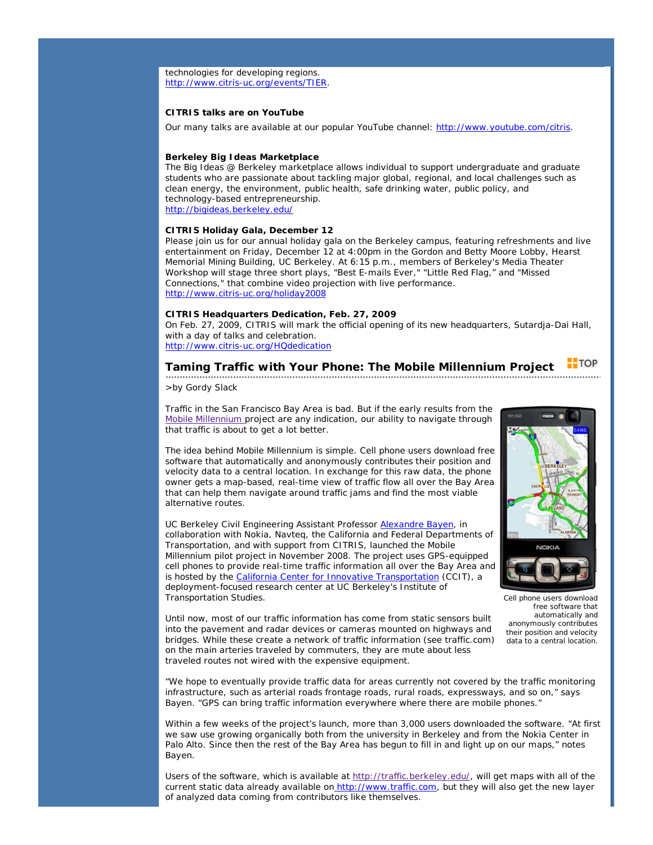technologies for developing regions. http://www.citris-uc.org/events/TIER.

# **CITRIS talks are on YouTube**

Our many talks are available at our popular YouTube channel: http://www.youtube.com/citris.

## **Berkeley Big Ideas Marketplace**

The Big Ideas @ Berkeley marketplace allows individual to support undergraduate and graduate students who are passionate about tackling major global, regional, and local challenges such as clean energy, the environment, public health, safe drinking water, public policy, and technology-based entrepreneurship. http://bigideas.berkeley.edu/

#### **CITRIS Holiday Gala, December 12**

Please join us for our annual holiday gala on the Berkeley campus, featuring refreshments and live entertainment on Friday, December 12 at 4:00pm in the Gordon and Betty Moore Lobby, Hearst Memorial Mining Building, UC Berkeley. At 6:15 p.m., members of Berkeley's Media Theater Workshop will stage three short plays, "Best E-mails Ever," "Little Red Flag," and "Missed Connections," that combine video projection with live performance. http://www.citris-uc.org/holiday2008

## **CITRIS Headquarters Dedication, Feb. 27, 2009**

On Feb. 27, 2009, CITRIS will mark the official opening of its new headquarters, Sutardja-Dai Hall, with a day of talks and celebration. http://www.citris-uc.org/HQdedication

#### $\blacksquare$ TOP **Taming Traffic with Your Phone: The Mobile Millennium Project**

*>by Gordy Slack*

Traffic in the San Francisco Bay Area is bad. But if the early results from the Mobile Millennium project are any indication, our ability to navigate through that traffic is about to get a lot better.

The idea behind Mobile Millennium is simple. Cell phone users download free software that automatically and anonymously contributes their position and velocity data to a central location. In exchange for this raw data, the phone owner gets a map-based, real-time view of traffic flow all over the Bay Area that can help them navigate around traffic jams and find the most viable alternative routes.

UC Berkeley Civil Engineering Assistant Professor Alexandre Bayen, in collaboration with Nokia, Navteq, the California and Federal Departments of Transportation, and with support from CITRIS, launched the Mobile Millennium pilot project in November 2008. The project uses GPS-equipped cell phones to provide real-time traffic information all over the Bay Area and is hosted by the California Center for Innovative Transportation (CCIT), a deployment-focused research center at UC Berkeley's Institute of Transportation Studies.



*Cell phone users download free software that automatically and anonymously contributes their position and velocity data to a central location.*

Until now, most of our traffic information has come from static sensors built into the pavement and radar devices or cameras mounted on highways and bridges. While these create a network of traffic information (see traffic.com) on the main arteries traveled by commuters, they are mute about less traveled routes not wired with the expensive equipment.

"We hope to eventually provide traffic data for areas currently not covered by the traffic monitoring infrastructure, such as arterial roads frontage roads, rural roads, expressways, and so on," says Bayen. "GPS can bring traffic information everywhere where there are mobile phones."

Within a few weeks of the project's launch, more than 3,000 users downloaded the software. "At first we saw use growing organically both from the university in Berkeley and from the Nokia Center in Palo Alto. Since then the rest of the Bay Area has begun to fill in and light up on our maps," notes Bayen.

Users of the software, which is available at http://traffic.berkeley.edu/, will get maps with all of the current static data already available on http://www.traffic.com, but they will also get the new layer of analyzed data coming from contributors like themselves.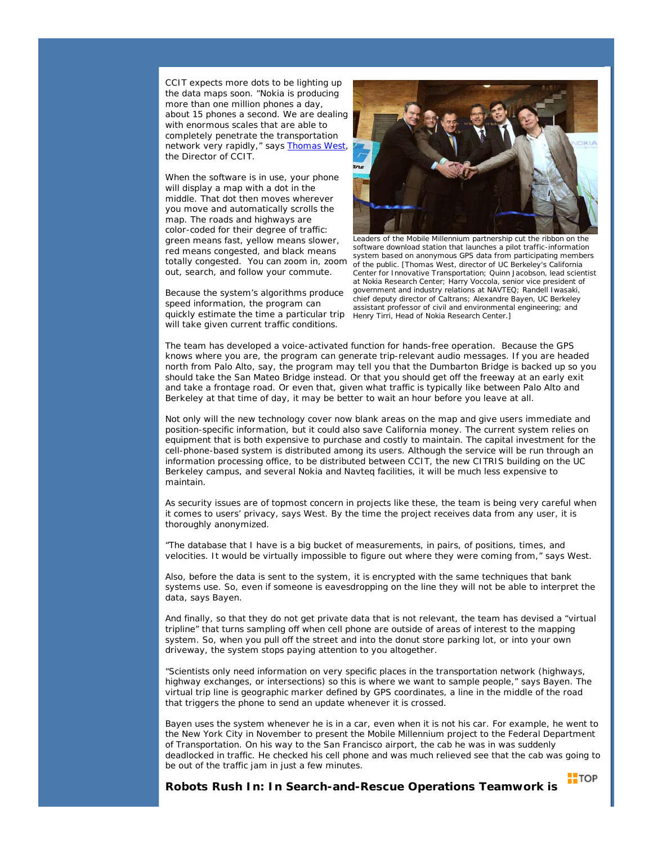CCIT expects more dots to be lighting up the data maps soon. "Nokia is producing more than one million phones a day, about 15 phones a second. We are dealing with enormous scales that are able to completely penetrate the transportation network very rapidly," says Thomas West, the Director of CCIT.

When the software is in use, your phone will display a map with a dot in the middle. That dot then moves wherever you move and automatically scrolls the map. The roads and highways are color-coded for their degree of traffic: green means fast, yellow means slower, red means congested, and black means totally congested. You can zoom in, zoom out, search, and follow your commute.

Because the system's algorithms produce speed information, the program can quickly estimate the time a particular trip will take given current traffic conditions.



*Leaders of the Mobile Millennium partnership cut the ribbon on the software download station that launches a pilot traffic-information system based on anonymous GPS data from participating members of the public. [Thomas West, director of UC Berkeley's California Center for Innovative Transportation; Quinn Jacobson, lead scientist at Nokia Research Center; Harry Voccola, senior vice president of government and industry relations at NAVTEQ; Randell Iwasaki, chief deputy director of Caltrans; Alexandre Bayen, UC Berkeley assistant professor of civil and environmental engineering; and Henry Tirri, Head of Nokia Research Center.]*

The team has developed a voice-activated function for hands-free operation. Because the GPS knows where you are, the program can generate trip-relevant audio messages. If you are headed north from Palo Alto, say, the program may tell you that the Dumbarton Bridge is backed up so you should take the San Mateo Bridge instead. Or that you should get off the freeway at an early exit and take a frontage road. Or even that, given what traffic is typically like between Palo Alto and Berkeley at that time of day, it may be better to wait an hour before you leave at all.

Not only will the new technology cover now blank areas on the map and give users immediate and position-specific information, but it could also save California money. The current system relies on equipment that is both expensive to purchase and costly to maintain. The capital investment for the cell-phone-based system is distributed among its users. Although the service will be run through an information processing office, to be distributed between CCIT, the new CITRIS building on the UC Berkeley campus, and several Nokia and Navteq facilities, it will be much less expensive to maintain.

As security issues are of topmost concern in projects like these, the team is being very careful when it comes to users' privacy, says West. By the time the project receives data from any user, it is thoroughly anonymized.

"The database that I have is a big bucket of measurements, in pairs, of positions, times, and velocities. It would be virtually impossible to figure out where they were coming from," says West.

Also, before the data is sent to the system, it is encrypted with the same techniques that bank systems use. So, even if someone is eavesdropping on the line they will not be able to interpret the data, says Bayen.

And finally, so that they do not get private data that is not relevant, the team has devised a "virtual tripline" that turns sampling off when cell phone are outside of areas of interest to the mapping system. So, when you pull off the street and into the donut store parking lot, or into your own driveway, the system stops paying attention to you altogether.

"Scientists only need information on very specific places in the transportation network (highways, highway exchanges, or intersections) so this is where we want to sample people," says Bayen. The virtual trip line is geographic marker defined by GPS coordinates, a line in the middle of the road that triggers the phone to send an update whenever it is crossed.

Bayen uses the system whenever he is in a car, even when it is not his car. For example, he went to the New York City in November to present the Mobile Millennium project to the Federal Department of Transportation. On his way to the San Francisco airport, the cab he was in was suddenly deadlocked in traffic. He checked his cell phone and was much relieved see that the cab was going to be out of the traffic jam in just a few minutes.

 $\blacksquare$ TOP

**Robots Rush In: In Search-and-Rescue Operations Teamwork is**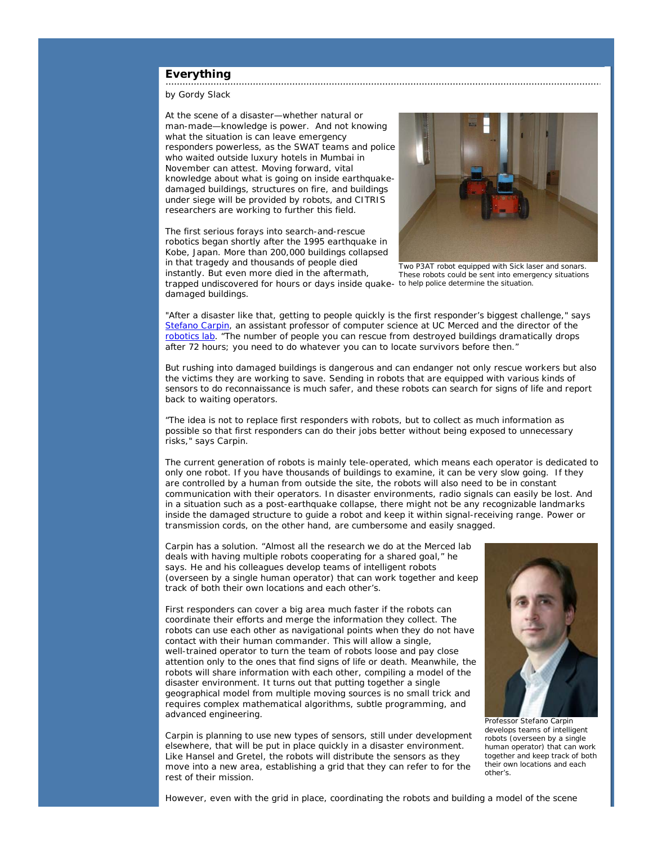#### **Everything** . . . . . . . . . .

by Gordy Slack

At the scene of a disaster—whether natural or man-made—knowledge is power. And not knowing what the situation is can leave emergency responders powerless, as the SWAT teams and police who waited outside luxury hotels in Mumbai in November can attest. Moving forward, vital knowledge about what is going on inside earthquakedamaged buildings, structures on fire, and buildings under siege will be provided by robots, and CITRIS researchers are working to further this field.

trapped undiscovered for hours or days inside quake- to help police determine the situation. The first serious forays into search-and-rescue robotics began shortly after the 1995 earthquake in Kobe, Japan. More than 200,000 buildings collapsed in that tragedy and thousands of people died instantly. But even more died in the aftermath, damaged buildings.



*Two P3AT robot equipped with Sick laser and sonars. These robots could be sent into emergency situations*

"After a disaster like that, getting to people quickly is the first responder's biggest challenge," says Stefano Carpin, an assistant professor of computer science at UC Merced and the director of the robotics lab. "The number of people you can rescue from destroyed buildings dramatically drops after 72 hours; you need to do whatever you can to locate survivors before then."

But rushing into damaged buildings is dangerous and can endanger not only rescue workers but also the victims they are working to save. Sending in robots that are equipped with various kinds of sensors to do reconnaissance is much safer, and these robots can search for signs of life and report back to waiting operators.

"The idea is not to replace first responders with robots, but to collect as much information as possible so that first responders can do their jobs better without being exposed to unnecessary risks," says Carpin.

The current generation of robots is mainly tele-operated, which means each operator is dedicated to only one robot. If you have thousands of buildings to examine, it can be very slow going. If they are controlled by a human from outside the site, the robots will also need to be in constant communication with their operators. In disaster environments, radio signals can easily be lost. And in a situation such as a post-earthquake collapse, there might not be any recognizable landmarks inside the damaged structure to guide a robot and keep it within signal-receiving range. Power or transmission cords, on the other hand, are cumbersome and easily snagged.

Carpin has a solution. "Almost all the research we do at the Merced lab deals with having multiple robots cooperating for a shared goal," he says. He and his colleagues develop teams of intelligent robots (overseen by a single human operator) that can work together and keep track of both their own locations and each other's.

First responders can cover a big area much faster if the robots can coordinate their efforts and merge the information they collect. The robots can use each other as navigational points when they do not have contact with their human commander. This will allow a single, well-trained operator to turn the team of robots loose and pay close attention only to the ones that find signs of life or death. Meanwhile, the robots will share information with each other, compiling a model of the disaster environment. It turns out that putting together a single geographical model from multiple moving sources is no small trick and requires complex mathematical algorithms, subtle programming, and advanced engineering.

Carpin is planning to use new types of sensors, still under development elsewhere, that will be put in place quickly in a disaster environment. Like Hansel and Gretel, the robots will distribute the sensors as they move into a new area, establishing a grid that they can refer to for the rest of their mission.



*develops teams of intelligent robots (overseen by a single human operator) that can work together and keep track of both their own locations and each other's.*

However, even with the grid in place, coordinating the robots and building a model of the scene